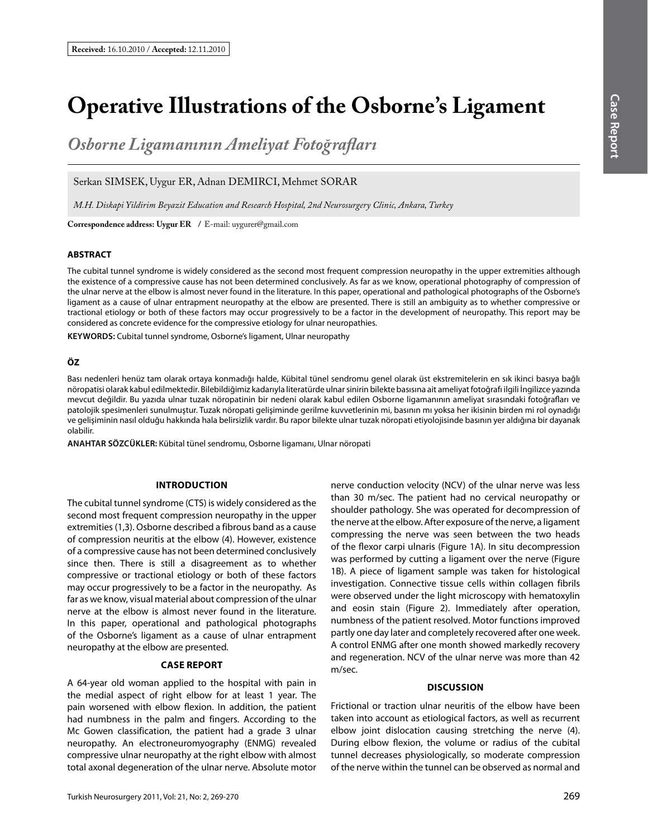# **Operative Illustrations of the Osborne's Ligament**

*Osborne Ligamanının Ameliyat Fotoğrafları*

Serkan SIMSEK, Uygur ER, Adnan DEMIRCI, Mehmet SORAR

*M.H. Diskapi Yildirim Beyazit Education and Research Hospital, 2nd Neurosurgery Clinic, Ankara, Turkey*

**Correspondence address: Uygur Er /** E-mail: uygurer@gmail.com

## **ABSTRACT**

The cubital tunnel syndrome is widely considered as the second most frequent compression neuropathy in the upper extremities although the existence of a compressive cause has not been determined conclusively. As far as we know, operational photography of compression of the ulnar nerve at the elbow is almost never found in the literature. In this paper, operational and pathological photographs of the Osborne's ligament as a cause of ulnar entrapment neuropathy at the elbow are presented. There is still an ambiguity as to whether compressive or tractional etiology or both of these factors may occur progressively to be a factor in the development of neuropathy. This report may be considered as concrete evidence for the compressive etiology for ulnar neuropathies.

**KEYWORDS:** Cubital tunnel syndrome, Osborne's ligament, Ulnar neuropathy

### **ÖZ**

Bası nedenleri henüz tam olarak ortaya konmadığı halde, Kübital tünel sendromu genel olarak üst ekstremitelerin en sık ikinci basıya bağlı nöropatisi olarak kabul edilmektedir. Bilebildiğimiz kadarıyla literatürde ulnar sinirin bilekte basısına ait ameliyat fotoğrafı ilgili İngilizce yazında mevcut değildir. Bu yazıda ulnar tuzak nöropatinin bir nedeni olarak kabul edilen Osborne ligamanının ameliyat sırasındaki fotoğrafları ve patolojik spesimenleri sunulmuştur. Tuzak nöropati gelişiminde gerilme kuvvetlerinin mi, basının mı yoksa her ikisinin birden mi rol oynadığı ve gelişiminin nasıl olduğu hakkında hala belirsizlik vardır. Bu rapor bilekte ulnar tuzak nöropati etiyolojisinde basının yer aldığına bir dayanak olabilir.

**ANAHTAR SÖZCÜKLER:** Kübital tünel sendromu, Osborne ligamanı, Ulnar nöropati

#### **IntroductIon**

The cubital tunnel syndrome (CTS) is widely considered as the second most frequent compression neuropathy in the upper extremities (1,3). Osborne described a fibrous band as a cause of compression neuritis at the elbow (4). However, existence of a compressive cause has not been determined conclusively since then. There is still a disagreement as to whether compressive or tractional etiology or both of these factors may occur progressively to be a factor in the neuropathy. As far as we know, visual material about compression of the ulnar nerve at the elbow is almost never found in the literature. In this paper, operational and pathological photographs of the Osborne's ligament as a cause of ulnar entrapment neuropathy at the elbow are presented.

#### **Case Report**

A 64-year old woman applied to the hospital with pain in the medial aspect of right elbow for at least 1 year. The pain worsened with elbow flexion. In addition, the patient had numbness in the palm and fingers. According to the Mc Gowen classification, the patient had a grade 3 ulnar neuropathy. An electroneuromyography (ENMG) revealed compressive ulnar neuropathy at the right elbow with almost total axonal degeneration of the ulnar nerve. Absolute motor nerve conduction velocity (NCV) of the ulnar nerve was less than 30 m/sec. The patient had no cervical neuropathy or shoulder pathology. She was operated for decompression of the nerve at the elbow. After exposure of the nerve, a ligament compressing the nerve was seen between the two heads of the flexor carpi ulnaris (Figure 1A). In situ decompression was performed by cutting a ligament over the nerve (Figure 1B). A piece of ligament sample was taken for histological investigation. Connective tissue cells within collagen fibrils were observed under the light microscopy with hematoxylin and eosin stain (Figure 2). Immediately after operation, numbness of the patient resolved. Motor functions improved partly one day later and completely recovered after one week. A control ENMG after one month showed markedly recovery and regeneration. NCV of the ulnar nerve was more than 42 m/sec.

### **DIscussIon**

Frictional or traction ulnar neuritis of the elbow have been taken into account as etiological factors, as well as recurrent elbow joint dislocation causing stretching the nerve (4). During elbow flexion, the volume or radius of the cubital tunnel decreases physiologically, so moderate compression of the nerve within the tunnel can be observed as normal and